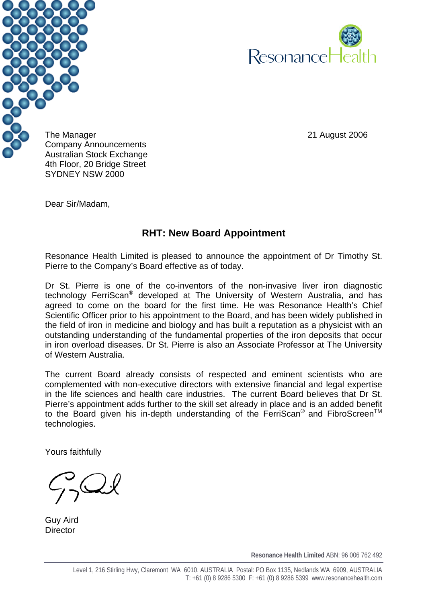



The Manager 2006 and the Manager 2006 Company Announcements Australian Stock Exchange 4th Floor, 20 Bridge Street SYDNEY NSW 2000

Dear Sir/Madam,

## **RHT: New Board Appointment**

Resonance Health Limited is pleased to announce the appointment of Dr Timothy St. Pierre to the Company's Board effective as of today.

Dr St. Pierre is one of the co-inventors of the non-invasive liver iron diagnostic technology FerriScan® developed at The University of Western Australia, and has agreed to come on the board for the first time. He was Resonance Health's Chief Scientific Officer prior to his appointment to the Board, and has been widely published in the field of iron in medicine and biology and has built a reputation as a physicist with an outstanding understanding of the fundamental properties of the iron deposits that occur in iron overload diseases. Dr St. Pierre is also an Associate Professor at The University of Western Australia.

The current Board already consists of respected and eminent scientists who are complemented with non-executive directors with extensive financial and legal expertise in the life sciences and health care industries. The current Board believes that Dr St. Pierre's appointment adds further to the skill set already in place and is an added benefit to the Board given his in-depth understanding of the FerriScan<sup>®</sup> and FibroScreen<sup>TM</sup> technologies.

Yours faithfully

Guy Aird **Director** 

**Resonance Health Limited** ABN: 96 006 762 492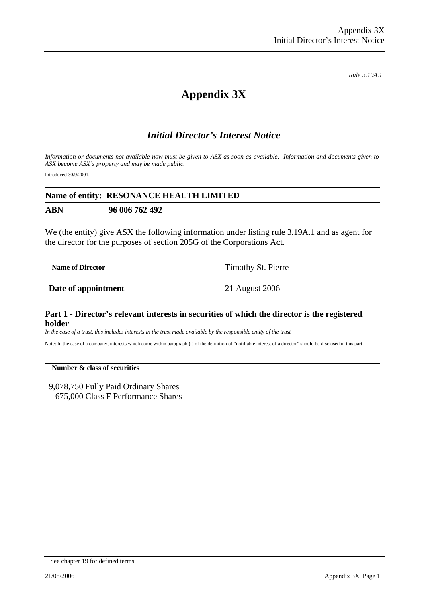*Rule 3.19A.1*

# **Appendix 3X**

## *Initial Director's Interest Notice*

*Information or documents not available now must be given to ASX as soon as available. Information and documents given to ASX become ASX's property and may be made public.* 

Introduced 30/9/2001.

|            | Name of entity: RESONANCE HEALTH LIMITED |
|------------|------------------------------------------|
| <b>ABN</b> | 96 006 762 492                           |

We (the entity) give ASX the following information under listing rule 3.19A.1 and as agent for the director for the purposes of section 205G of the Corporations Act.

| <b>Name of Director</b> | Timothy St. Pierre |
|-------------------------|--------------------|
| Date of appointment     | 21 August 2006     |

#### **Part 1 - Director's relevant interests in securities of which the director is the registered holder**

*In the case of a trust, this includes interests in the trust made available by the responsible entity of the trust*

Note: In the case of a company, interests which come within paragraph (i) of the definition of "notifiable interest of a director" should be disclosed in this part.

#### **Number & class of securities**

9,078,750 Fully Paid Ordinary Shares 675,000 Class F Performance Shares

<sup>+</sup> See chapter 19 for defined terms.